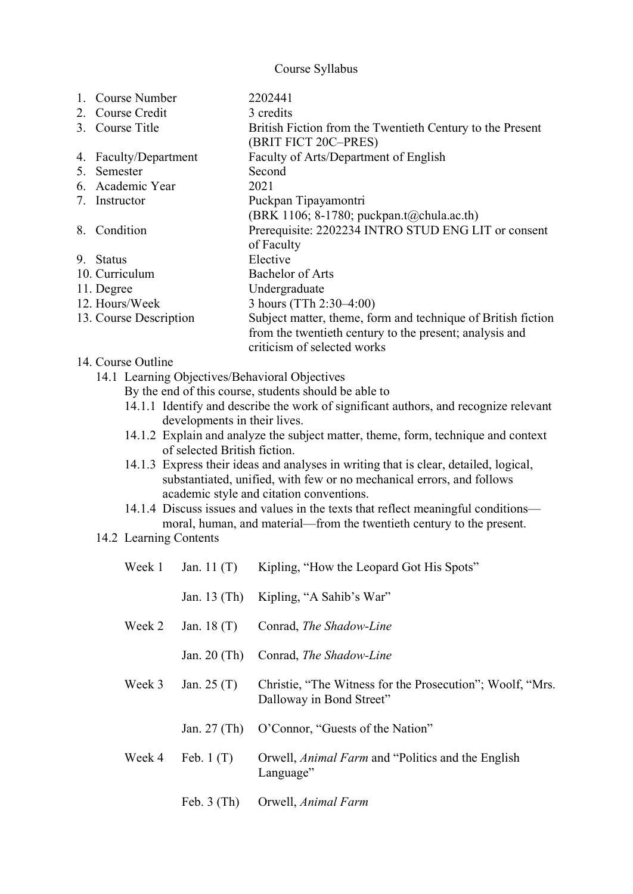## Course Syllabus

|    | 1. Course Number       | 2202441                                                      |
|----|------------------------|--------------------------------------------------------------|
|    | 2. Course Credit       | 3 credits                                                    |
|    | 3. Course Title        | British Fiction from the Twentieth Century to the Present    |
|    |                        | (BRIT FICT 20C-PRES)                                         |
|    | 4. Faculty/Department  | Faculty of Arts/Department of English                        |
|    | 5. Semester            | Second                                                       |
|    | 6. Academic Year       | 2021                                                         |
|    | 7. Instructor          | Puckpan Tipayamontri                                         |
|    |                        | (BRK 1106; 8-1780; puckpan.t@chula.ac.th)                    |
| 8. | Condition              | Prerequisite: 2202234 INTRO STUD ENG LIT or consent          |
|    |                        | of Faculty                                                   |
|    | 9. Status              | Elective                                                     |
|    | 10. Curriculum         | Bachelor of Arts                                             |
|    | 11. Degree             | Undergraduate                                                |
|    | 12. Hours/Week         | 3 hours (TTh 2:30–4:00)                                      |
|    | 13. Course Description | Subject matter, theme, form and technique of British fiction |
|    |                        | from the twentieth century to the present; analysis and      |
|    |                        | criticism of selected works                                  |
|    | 14. Course Outline     |                                                              |

- 14.1 Learning Objectives/Behavioral Objectives
	- By the end of this course, students should be able to
	- 14.1.1 Identify and describe the work of significant authors, and recognize relevant developments in their lives.
	- 14.1.2 Explain and analyze the subject matter, theme, form, technique and context of selected British fiction.
	- 14.1.3 Express their ideas and analyses in writing that is clear, detailed, logical, substantiated, unified, with few or no mechanical errors, and follows academic style and citation conventions.
	- 14.1.4 Discuss issues and values in the texts that reflect meaningful conditions moral, human, and material—from the twentieth century to the present.
- 14.2 Learning Contents

| Week 1 | Jan. 11 $(T)$  | Kipling, "How the Leopard Got His Spots"                                              |  |
|--------|----------------|---------------------------------------------------------------------------------------|--|
|        |                | Jan. 13 (Th) Kipling, "A Sahib's War"                                                 |  |
| Week 2 | Jan. $18(T)$   | Conrad, The Shadow-Line                                                               |  |
|        | Jan. $20$ (Th) | Conrad, The Shadow-Line                                                               |  |
| Week 3 | Jan. $25(T)$   | Christie, "The Witness for the Prosecution"; Woolf, "Mrs.<br>Dalloway in Bond Street" |  |
|        | Jan. $27$ (Th) | O'Connor, "Guests of the Nation"                                                      |  |
| Week 4 | Feb. $1(T)$    | Orwell, Animal Farm and "Politics and the English<br>Language"                        |  |
|        | Feb. $3$ (Th)  | Orwell, Animal Farm                                                                   |  |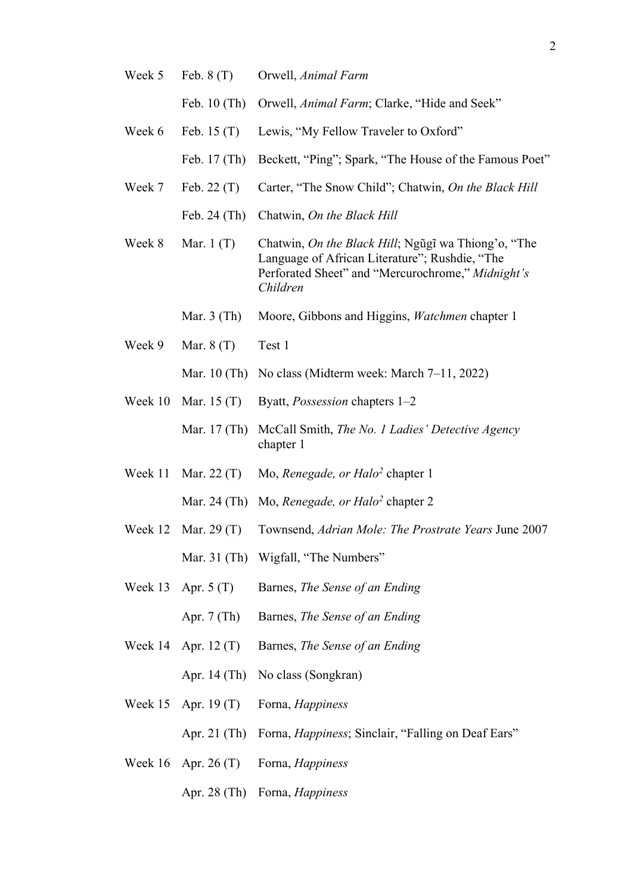- Week 5 Feb. 8 (T) Orwell, *Animal Farm* Feb. 10 (Th) Orwell, *Animal Farm*; Clarke, "Hide and Seek"
- Week 6 Feb. 15 (T) Lewis, "My Fellow Traveler to Oxford" Feb. 17 (Th) Beckett, "Ping"; Spark, "The House of the Famous Poet"
- Week 7 Feb. 22 (T) Carter, "The Snow Child"; Chatwin, *On the Black Hill* Feb. 24 (Th) Chatwin, *On the Black Hill*
- Week 8 Mar. 1 (T) Chatwin, *On the Black Hill*; Ngũgĩ wa Thiong'o, "The Language of African Literature"; Rushdie, "The Perforated Sheet" and "Mercurochrome," *Midnight's Children*
	- Mar. 3 (Th) Moore, Gibbons and Higgins, *Watchmen* chapter 1
- Week 9 Mar. 8 (T) Test 1
	- Mar. 10 (Th) No class (Midterm week: March 7–11, 2022)
- Week 10 Mar. 15 (T) Byatt, *Possession* chapters 1–2
	- Mar. 17 (Th) McCall Smith, *The No. 1 Ladies' Detective Agency* chapter 1
- Week 11 Mar. 22 (T) Mo, *Renegade, or Halo2* chapter 1 Mar. 24 (Th) Mo, *Renegade, or Halo2* chapter 2
- Week 12 Mar. 29 (T) Townsend, *Adrian Mole: The Prostrate Years* June 2007 Mar. 31 (Th) Wigfall, "The Numbers"
- Week 13 Apr. 5 (T) Barnes, *The Sense of an Ending*
	- Apr. 7 (Th) Barnes, *The Sense of an Ending*
- Week 14 Apr. 12 (T) Barnes, *The Sense of an Ending*

Apr. 14 (Th) No class (Songkran)

- Week 15 Apr. 19 (T) Forna, *Happiness*
	- Apr. 21 (Th) Forna, *Happiness*; Sinclair, "Falling on Deaf Ears"
- Week 16 Apr. 26 (T) Forna, *Happiness*
	- Apr. 28 (Th) Forna, *Happiness*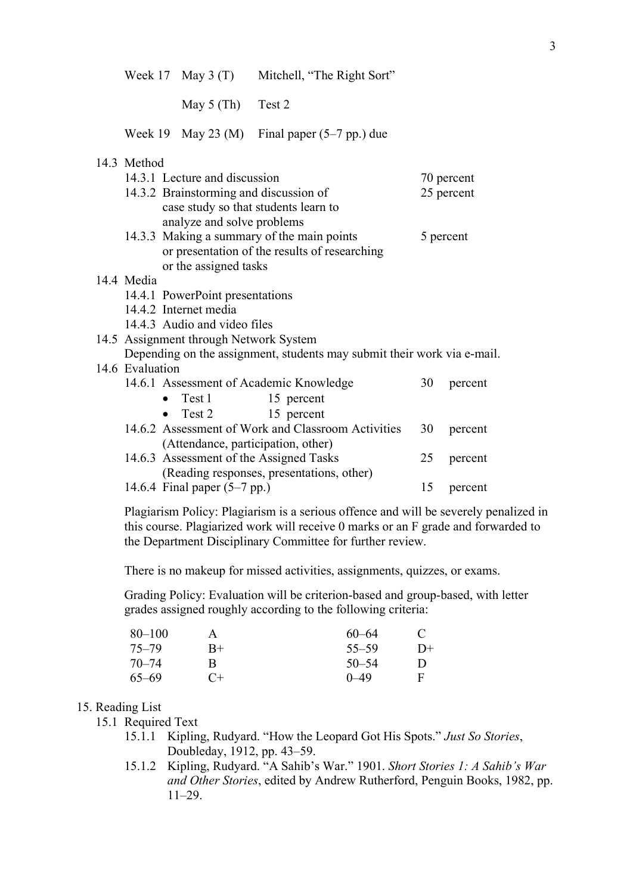Week 17 May 3 (T) Mitchell, "The Right Sort"

May 5 (Th) Test 2

Week 19 May 23 (M) Final paper (5–7 pp.) due

## 14.3 Method

|                                                                         | 14.3.1 Lecture and discussion                                                                                                       |                                         | 70 percent |            |         |
|-------------------------------------------------------------------------|-------------------------------------------------------------------------------------------------------------------------------------|-----------------------------------------|------------|------------|---------|
|                                                                         | 14.3.2 Brainstorming and discussion of                                                                                              |                                         |            | 25 percent |         |
|                                                                         |                                                                                                                                     | case study so that students learn to    |            |            |         |
|                                                                         |                                                                                                                                     | analyze and solve problems              |            |            |         |
| 14.3.3 Making a summary of the main points                              |                                                                                                                                     |                                         | 5 percent  |            |         |
|                                                                         | or presentation of the results of researching                                                                                       |                                         |            |            |         |
|                                                                         |                                                                                                                                     | or the assigned tasks                   |            |            |         |
|                                                                         | 14.4 Media                                                                                                                          |                                         |            |            |         |
|                                                                         |                                                                                                                                     | 14.4.1 PowerPoint presentations         |            |            |         |
| 14.4.2 Internet media                                                   |                                                                                                                                     |                                         |            |            |         |
|                                                                         |                                                                                                                                     | 14.4.3 Audio and video files            |            |            |         |
|                                                                         |                                                                                                                                     | 14.5 Assignment through Network System  |            |            |         |
| Depending on the assignment, students may submit their work via e-mail. |                                                                                                                                     |                                         |            |            |         |
|                                                                         | 14.6 Evaluation                                                                                                                     |                                         |            |            |         |
|                                                                         |                                                                                                                                     | 14.6.1 Assessment of Academic Knowledge |            | 30         | percent |
|                                                                         |                                                                                                                                     | $\bullet$ Test 1                        | 15 percent |            |         |
|                                                                         |                                                                                                                                     | $\bullet$ Test 2                        | 15 percent |            |         |
|                                                                         | 14.6.2 Assessment of Work and Classroom Activities<br>(Attendance, participation, other)<br>14.6.3 Assessment of the Assigned Tasks |                                         |            | 30         | percent |
|                                                                         |                                                                                                                                     |                                         |            |            |         |
|                                                                         |                                                                                                                                     |                                         |            | 25         | percent |
|                                                                         | (Reading responses, presentations, other)                                                                                           |                                         |            |            |         |
|                                                                         |                                                                                                                                     | 14.6.4 Final paper $(5-7$ pp.)          |            | 15         | percent |
|                                                                         |                                                                                                                                     |                                         |            |            |         |

Plagiarism Policy: Plagiarism is a serious offence and will be severely penalized in this course. Plagiarized work will receive 0 marks or an F grade and forwarded to the Department Disciplinary Committee for further review.

There is no makeup for missed activities, assignments, quizzes, or exams.

Grading Policy: Evaluation will be criterion-based and group-based, with letter grades assigned roughly according to the following criteria:

| $80 - 100$ | A    | $60 - 64$  | $\mathcal{L}$ |
|------------|------|------------|---------------|
| $75 - 79$  | $R+$ | $55 - 59$  | D+            |
| $70 - 74$  | В    | $50 - 54$  | Ð             |
| $65 - 69$  | $C+$ | $(1 - 49)$ | F             |

## 15. Reading List

15.1 Required Text

- 15.1.1 Kipling, Rudyard. "How the Leopard Got His Spots." *Just So Stories*, Doubleday, 1912, pp. 43–59.
- 15.1.2 Kipling, Rudyard. "A Sahib's War." 1901. *Short Stories 1: A Sahib's War and Other Stories*, edited by Andrew Rutherford, Penguin Books, 1982, pp. 11–29.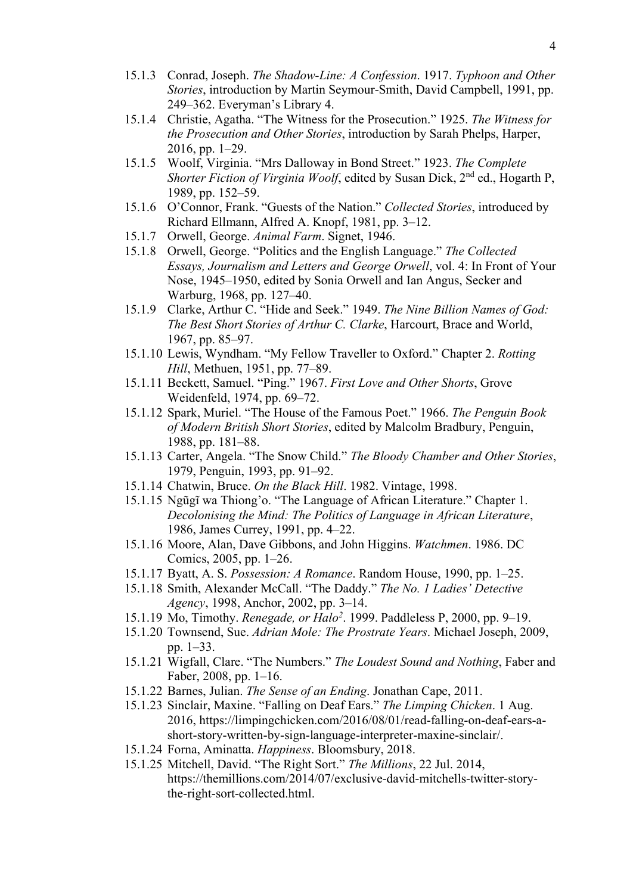- 15.1.3 Conrad, Joseph. *The Shadow-Line: A Confession*. 1917. *Typhoon and Other Stories*, introduction by Martin Seymour-Smith, David Campbell, 1991, pp. 249–362. Everyman's Library 4.
- 15.1.4 Christie, Agatha. "The Witness for the Prosecution." 1925. *The Witness for the Prosecution and Other Stories*, introduction by Sarah Phelps, Harper, 2016, pp. 1–29.
- 15.1.5 Woolf, Virginia. "Mrs Dalloway in Bond Street." 1923. *The Complete Shorter Fiction of Virginia Woolf*, edited by Susan Dick, 2<sup>nd</sup> ed., Hogarth P, 1989, pp. 152–59.
- 15.1.6 O'Connor, Frank. "Guests of the Nation." *Collected Stories*, introduced by Richard Ellmann, Alfred A. Knopf, 1981, pp. 3–12.
- 15.1.7 Orwell, George. *Animal Farm*. Signet, 1946.
- 15.1.8 Orwell, George. "Politics and the English Language." *The Collected Essays, Journalism and Letters and George Orwell*, vol. 4: In Front of Your Nose, 1945–1950, edited by Sonia Orwell and Ian Angus, Secker and Warburg, 1968, pp. 127–40.
- 15.1.9 Clarke, Arthur C. "Hide and Seek." 1949. *The Nine Billion Names of God: The Best Short Stories of Arthur C. Clarke*, Harcourt, Brace and World, 1967, pp. 85–97.
- 15.1.10 Lewis, Wyndham. "My Fellow Traveller to Oxford." Chapter 2. *Rotting Hill*, Methuen, 1951, pp. 77–89.
- 15.1.11 Beckett, Samuel. "Ping." 1967. *First Love and Other Shorts*, Grove Weidenfeld, 1974, pp. 69–72.
- 15.1.12 Spark, Muriel. "The House of the Famous Poet." 1966. *The Penguin Book of Modern British Short Stories*, edited by Malcolm Bradbury, Penguin, 1988, pp. 181–88.
- 15.1.13 Carter, Angela. "The Snow Child." *The Bloody Chamber and Other Stories*, 1979, Penguin, 1993, pp. 91–92.
- 15.1.14 Chatwin, Bruce. *On the Black Hill*. 1982. Vintage, 1998.
- 15.1.15 Ngũgĩ wa Thiong'o. "The Language of African Literature." Chapter 1. *Decolonising the Mind: The Politics of Language in African Literature*, 1986, James Currey, 1991, pp. 4–22.
- 15.1.16 Moore, Alan, Dave Gibbons, and John Higgins. *Watchmen*. 1986. DC Comics, 2005, pp. 1–26.
- 15.1.17 Byatt, A. S. *Possession: A Romance*. Random House, 1990, pp. 1–25.
- 15.1.18 Smith, Alexander McCall. "The Daddy." *The No. 1 Ladies' Detective Agency*, 1998, Anchor, 2002, pp. 3–14.
- 15.1.19 Mo, Timothy. *Renegade, or Halo2*. 1999. Paddleless P, 2000, pp. 9–19.
- 15.1.20 Townsend, Sue. *Adrian Mole: The Prostrate Years*. Michael Joseph, 2009, pp. 1–33.
- 15.1.21 Wigfall, Clare. "The Numbers." *The Loudest Sound and Nothing*, Faber and Faber, 2008, pp. 1–16.
- 15.1.22 Barnes, Julian. *The Sense of an Ending*. Jonathan Cape, 2011.
- 15.1.23 Sinclair, Maxine. "Falling on Deaf Ears." *The Limping Chicken*. 1 Aug. 2016, https://limpingchicken.com/2016/08/01/read-falling-on-deaf-ears-ashort-story-written-by-sign-language-interpreter-maxine-sinclair/.
- 15.1.24 Forna, Aminatta. *Happiness*. Bloomsbury, 2018.
- 15.1.25 Mitchell, David. "The Right Sort." *The Millions*, 22 Jul. 2014, https://themillions.com/2014/07/exclusive-david-mitchells-twitter-storythe-right-sort-collected.html.